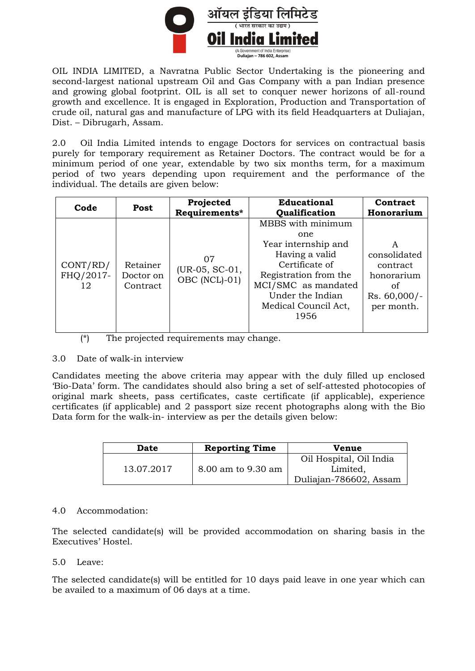

OIL INDIA LIMITED, a Navratna Public Sector Undertaking is the pioneering and second-largest national upstream Oil and Gas Company with a pan Indian presence and growing global footprint. OIL is all set to conquer newer horizons of all-round growth and excellence. It is engaged in Exploration, Production and Transportation of crude oil, natural gas and manufacture of LPG with its field Headquarters at Duliajan, Dist. – Dibrugarh, Assam.

2.0 Oil India Limited intends to engage Doctors for services on contractual basis purely for temporary requirement as Retainer Doctors. The contract would be for a minimum period of one year, extendable by two six months term, for a maximum period of two years depending upon requirement and the performance of the individual. The details are given below:

| Code                        |                                   | Projected                             | <b>Educational</b>                                                                                                                                                                      | Contract                                                                          |  |
|-----------------------------|-----------------------------------|---------------------------------------|-----------------------------------------------------------------------------------------------------------------------------------------------------------------------------------------|-----------------------------------------------------------------------------------|--|
| Post                        |                                   | Requirements*                         | Qualification                                                                                                                                                                           | Honorarium                                                                        |  |
| CONT/RD/<br>FHQ/2017-<br>12 | Retainer<br>Doctor on<br>Contract | 07<br>(UR-05, SC-01,<br>OBC (NCL)-01) | MBBS with minimum<br>one<br>Year internship and<br>Having a valid<br>Certificate of<br>Registration from the<br>MCI/SMC as mandated<br>Under the Indian<br>Medical Council Act,<br>1956 | A<br>consolidated<br>contract<br>honorarium<br>Ωt<br>$Rs. 60,000/-$<br>per month. |  |

(\*) The projected requirements may change.

#### 3.0 Date of walk-in interview

Candidates meeting the above criteria may appear with the duly filled up enclosed 'Bio-Data' form. The candidates should also bring a set of self-attested photocopies of original mark sheets, pass certificates, caste certificate (if applicable), experience certificates (if applicable) and 2 passport size recent photographs along with the Bio Data form for the walk-in- interview as per the details given below:

| <b>Reporting Time</b><br>Date |                    | Venue                                                         |  |  |
|-------------------------------|--------------------|---------------------------------------------------------------|--|--|
| 13.07.2017                    | 8.00 am to 9.30 am | Oil Hospital, Oil India<br>Limited,<br>Duliajan-786602, Assam |  |  |

#### 4.0 Accommodation:

The selected candidate(s) will be provided accommodation on sharing basis in the Executives' Hostel.

#### 5.0 Leave:

The selected candidate(s) will be entitled for 10 days paid leave in one year which can be availed to a maximum of 06 days at a time.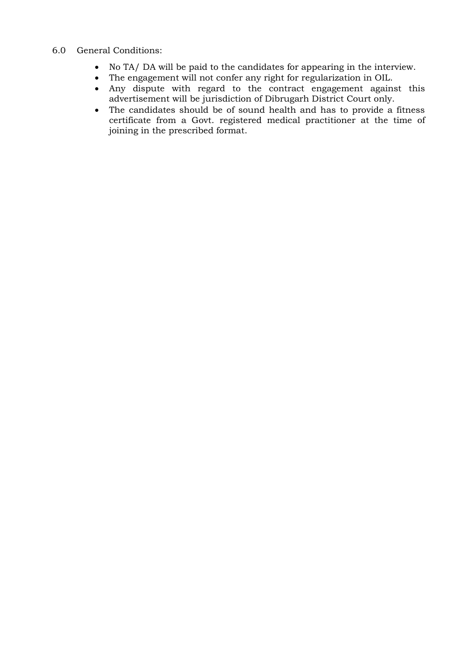#### 6.0 General Conditions:

- No TA/ DA will be paid to the candidates for appearing in the interview.
- The engagement will not confer any right for regularization in OIL.
- Any dispute with regard to the contract engagement against this advertisement will be jurisdiction of Dibrugarh District Court only.
- The candidates should be of sound health and has to provide a fitness certificate from a Govt. registered medical practitioner at the time of joining in the prescribed format.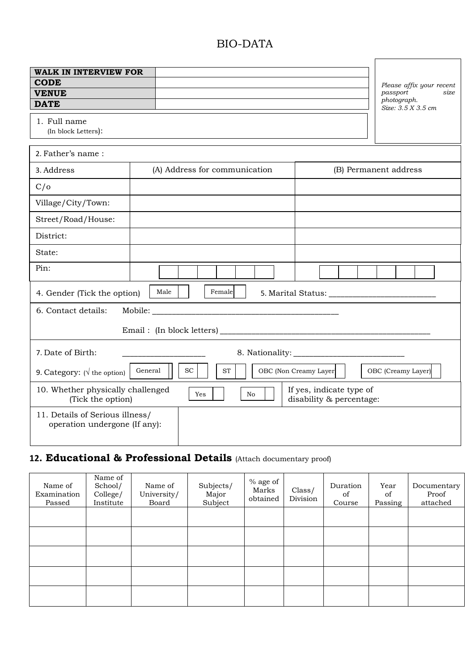## BIO-DATA

| <b>WALK IN INTERVIEW FOR</b><br><b>CODE</b><br><b>VENUE</b><br><b>DATE</b><br>1. Full name<br>(In block Letters):           |                               | Please affix your recent<br>passport<br>size<br>photograph.<br>Size: 3.5 X 3.5 cm |  |  |  |  |
|-----------------------------------------------------------------------------------------------------------------------------|-------------------------------|-----------------------------------------------------------------------------------|--|--|--|--|
| 2. Father's name:                                                                                                           |                               |                                                                                   |  |  |  |  |
| 3. Address                                                                                                                  | (A) Address for communication | (B) Permanent address                                                             |  |  |  |  |
| C/O                                                                                                                         |                               |                                                                                   |  |  |  |  |
| Village/City/Town:                                                                                                          |                               |                                                                                   |  |  |  |  |
| Street/Road/House:                                                                                                          |                               |                                                                                   |  |  |  |  |
| District:                                                                                                                   |                               |                                                                                   |  |  |  |  |
| State:                                                                                                                      |                               |                                                                                   |  |  |  |  |
| Pin:                                                                                                                        |                               |                                                                                   |  |  |  |  |
| Male<br>Female<br>4. Gender (Tick the option)                                                                               |                               |                                                                                   |  |  |  |  |
| Mobile:<br>6. Contact details:                                                                                              |                               |                                                                                   |  |  |  |  |
| Email: (In block letters)                                                                                                   |                               |                                                                                   |  |  |  |  |
| 7. Date of Birth:                                                                                                           |                               |                                                                                   |  |  |  |  |
| General<br><b>SC</b><br>OBC (Non Creamy Layer)<br><b>ST</b><br>OBC (Creamy Layer)<br>9. Category: $(\sqrt{\ }$ the option)  |                               |                                                                                   |  |  |  |  |
| 10. Whether physically challenged<br>If yes, indicate type of<br>Yes<br>No<br>(Tick the option)<br>disability & percentage: |                               |                                                                                   |  |  |  |  |
| 11. Details of Serious illness/<br>operation undergone (If any):                                                            |                               |                                                                                   |  |  |  |  |

# **12. Educational & Professional Details** (Attach documentary proof)

| Name of<br>Examination<br>Passed | Name of<br>School/<br>College/<br>Institute | Name of<br>University/<br>Board | Subjects/<br>Major<br>Subject | % age of<br>Marks<br>obtained | Class/<br>Division | Duration<br>of<br>Course | Year<br>of<br>Passing | Documentary<br>Proof<br>attached |
|----------------------------------|---------------------------------------------|---------------------------------|-------------------------------|-------------------------------|--------------------|--------------------------|-----------------------|----------------------------------|
|                                  |                                             |                                 |                               |                               |                    |                          |                       |                                  |
|                                  |                                             |                                 |                               |                               |                    |                          |                       |                                  |
|                                  |                                             |                                 |                               |                               |                    |                          |                       |                                  |
|                                  |                                             |                                 |                               |                               |                    |                          |                       |                                  |
|                                  |                                             |                                 |                               |                               |                    |                          |                       |                                  |